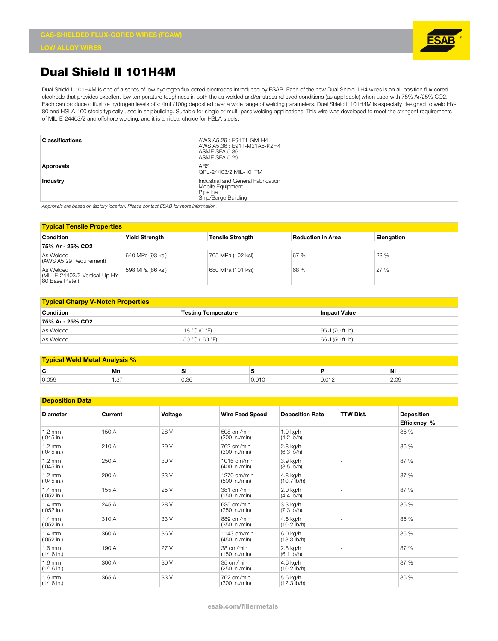

## **Dual Shield II 101H4M**

Dual Shield II 101H4M is one of a series of low hydrogen flux cored electrodes introduced by ESAB. Each of the new Dual Shield II H4 wires is an all-position flux cored electrode that provides excellent low temperature toughness in both the as welded and/or stress relieved conditions (as applicable) when used with 75% Ar/25% CO2. Each can produce diffusible hydrogen levels of < 4mL/100g deposited over a wide range of welding parameters. Dual Shield II 101H4M is especially designed to weld HY-80 and HSLA-100 steels typically used in shipbuilding. Suitable for single or multi-pass welding applications. This wire was developed to meet the stringent requirements of MIL-E-24403/2 and offshore welding, and it is an ideal choice for HSLA steels.

| <b>Classifications</b> | AWS A5.29 : E91T1-GM-H4<br>AWS A5.36 : E91T-M21A6-K2H4<br>ASME SFA 5.36<br>ASME SFA 5.29  |
|------------------------|-------------------------------------------------------------------------------------------|
| <b>Approvals</b>       | ABS<br>QPL-24403/2 MIL-101TM                                                              |
| Industry               | Industrial and General Fabrication<br>Mobile Equipment<br>Pipeline<br>Ship/Barge Building |

*Approvals are based on factory location. Please contact ESAB for more information.*

| <b>Typical Tensile Properties</b>                             |                       |                         |                          |                   |  |  |
|---------------------------------------------------------------|-----------------------|-------------------------|--------------------------|-------------------|--|--|
| Condition                                                     | <b>Yield Strength</b> | <b>Tensile Strength</b> | <b>Reduction in Area</b> | <b>Elongation</b> |  |  |
| 75% Ar - 25% CO2                                              |                       |                         |                          |                   |  |  |
| As Welded<br>(AWS A5.29 Requirement)                          | 640 MPa (93 ksi)      | 705 MPa (102 ksi)       | 67 %                     | 23 %              |  |  |
| As Welded<br>(MIL-E-24403/2 Vertical-Up HY-<br>80 Base Plate) | 598 MPa (86 ksi)      | 680 MPa (101 ksi)       | 68 %                     | 27 %              |  |  |

| <b>Typical Charpy V-Notch Properties</b> |                            |                     |  |  |  |
|------------------------------------------|----------------------------|---------------------|--|--|--|
| <b>Condition</b>                         | <b>Testing Temperature</b> | <b>Impact Value</b> |  |  |  |
| 75% Ar - 25% CO2                         |                            |                     |  |  |  |
| As Welded                                | $-18 °C (0 °F)$            | 95 J (70 ft-lb)     |  |  |  |
| As Welded                                | -50 °C (-60 °F)            | 66 J (50 ft-lb)     |  |  |  |

| I Weld Metal Analysis %<br><b>Tynical</b> |      |      |       |              |      |  |
|-------------------------------------------|------|------|-------|--------------|------|--|
| r<br>                                     | Mn   | יש   |       |              | Ni   |  |
| 0.059                                     | ن. ا | U.SC | 0.010 | <b>U.U.L</b> | 2.UY |  |

| <b>Deposition Data</b>           |         |         |                              |                                    |                  |                                   |
|----------------------------------|---------|---------|------------------------------|------------------------------------|------------------|-----------------------------------|
| <b>Diameter</b>                  | Current | Voltage | <b>Wire Feed Speed</b>       | <b>Deposition Rate</b>             | <b>TTW Dist.</b> | <b>Deposition</b><br>Efficiency % |
| $1.2 \text{ mm}$<br>$(.045$ in.) | 150 A   | 28 V    | 508 cm/min<br>(200 in./min)  | 1.9 kg/h<br>$(4.2 \, lb/h)$        |                  | 86 %                              |
| $1.2 \text{ mm}$<br>$(.045$ in.) | 210 A   | 29 V    | 762 cm/min<br>(300 in./min)  | 2.8 kg/h<br>(6.3 lb/h)             |                  | 86 %                              |
| $1.2 \text{ mm}$<br>$(.045$ in.) | 250 A   | 30 V    | 1016 cm/min<br>(400 in./min) | 3.9 kg/h<br>$(8.5 \, \text{lb/h})$ |                  | 87 %                              |
| $1.2 \text{ mm}$<br>$(.045$ in.) | 290 A   | 33 V    | 1270 cm/min<br>(500 in./min) | 4.8 kg/h<br>$(10.7 \text{ lb/h})$  |                  | 87 %                              |
| $1.4 \text{ mm}$<br>$(.052$ in.) | 155 A   | 25 V    | 381 cm/min<br>(150 in./min)  | 2.0 kg/h<br>$(4.4 \text{ lb/h})$   |                  | 87 %                              |
| $1.4 \text{ mm}$<br>$(.052$ in.) | 245 A   | 28 V    | 635 cm/min<br>(250 in./min)  | 3.3 kg/h<br>$(7.3 \, lb/h)$        |                  | 86 %                              |
| $1.4 \text{ mm}$<br>$(.052$ in.) | 310 A   | 33 V    | 889 cm/min<br>(350 in./min)  | 4.6 kg/h<br>$(10.2 \text{ lb/h})$  |                  | 85 %                              |
| $1.4 \text{ mm}$<br>$(.052$ in.) | 360 A   | 36 V    | 1143 cm/min<br>(450 in./min) | 6.0 kg/h<br>$(13.3 \, lb/h)$       |                  | 85 %                              |
| $1.6$ mm<br>$(1/16$ in.)         | 190 A   | 27 V    | 38 cm/min<br>(150 in./min)   | 2.8 kg/h<br>$(6.1$ lb/h)           |                  | 87 %                              |
| $1.6$ mm<br>$(1/16$ in.)         | 300 A   | 30 V    | 35 cm/min<br>(250 in./min)   | 4.6 kg/h<br>$(10.2$ lb/h)          |                  | 87 %                              |
| $1.6$ mm<br>$(1/16$ in.)         | 365 A   | 33 V    | 762 cm/min<br>(300 in./min)  | 5.6 kg/h<br>$(12.3 \, lb/h)$       |                  | 86 %                              |